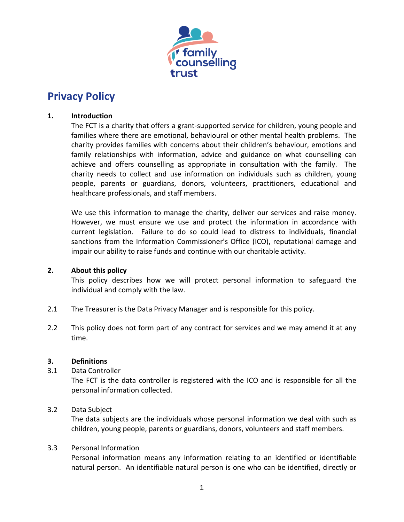

# **Privacy Policy**

## **1. Introduction**

The FCT is a charity that offers a grant-supported service for children, young people and families where there are emotional, behavioural or other mental health problems. The charity provides families with concerns about their children's behaviour, emotions and family relationships with information, advice and guidance on what counselling can achieve and offers counselling as appropriate in consultation with the family. The charity needs to collect and use information on individuals such as children, young people, parents or guardians, donors, volunteers, practitioners, educational and healthcare professionals, and staff members.

We use this information to manage the charity, deliver our services and raise money. However, we must ensure we use and protect the information in accordance with current legislation. Failure to do so could lead to distress to individuals, financial sanctions from the Information Commissioner's Office (ICO), reputational damage and impair our ability to raise funds and continue with our charitable activity.

#### **2. About this policy**

This policy describes how we will protect personal information to safeguard the individual and comply with the law.

- 2.1 The Treasurer is the Data Privacy Manager and is responsible for this policy.
- 2.2 This policy does not form part of any contract for services and we may amend it at any time.

#### **3. Definitions**

3.1 Data Controller

The FCT is the data controller is registered with the ICO and is responsible for all the personal information collected.

# 3.2 Data Subject

The data subjects are the individuals whose personal information we deal with such as children, young people, parents or guardians, donors, volunteers and staff members.

#### 3.3 Personal Information

Personal information means any information relating to an identified or identifiable natural person. An identifiable natural person is one who can be identified, directly or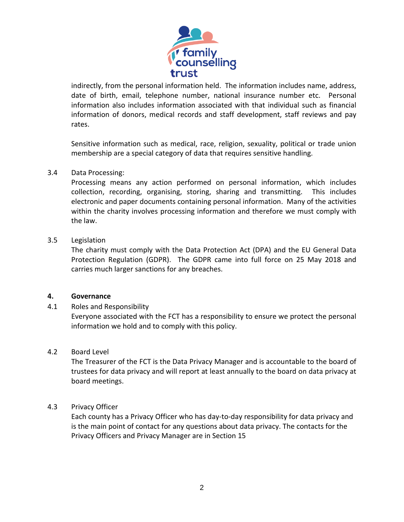

indirectly, from the personal information held. The information includes name, address, date of birth, email, telephone number, national insurance number etc. Personal information also includes information associated with that individual such as financial information of donors, medical records and staff development, staff reviews and pay rates.

Sensitive information such as medical, race, religion, sexuality, political or trade union membership are a special category of data that requires sensitive handling.

#### 3.4 Data Processing:

Processing means any action performed on personal information, which includes collection, recording, organising, storing, sharing and transmitting. This includes electronic and paper documents containing personal information. Many of the activities within the charity involves processing information and therefore we must comply with the law.

#### 3.5 Legislation

The charity must comply with the Data Protection Act (DPA) and the EU General Data Protection Regulation (GDPR). The GDPR came into full force on 25 May 2018 and carries much larger sanctions for any breaches.

#### **4. Governance**

#### 4.1 Roles and Responsibility

Everyone associated with the FCT has a responsibility to ensure we protect the personal information we hold and to comply with this policy.

#### 4.2 Board Level

The Treasurer of the FCT is the Data Privacy Manager and is accountable to the board of trustees for data privacy and will report at least annually to the board on data privacy at board meetings.

#### 4.3 Privacy Officer

Each county has a Privacy Officer who has day-to-day responsibility for data privacy and is the main point of contact for any questions about data privacy. The contacts for the Privacy Officers and Privacy Manager are in Section 15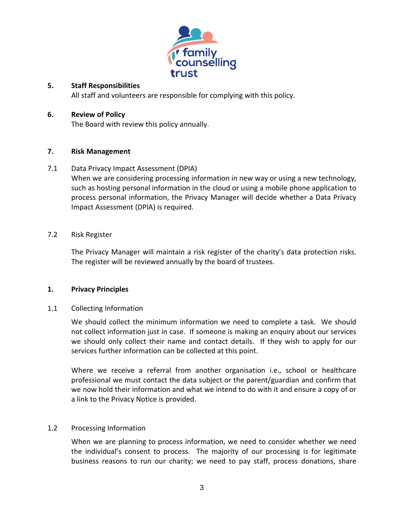

#### **5. Staff Responsibilities**

All staff and volunteers are responsible for complying with this policy.

#### **6. Review of Policy**

The Board with review this policy annually.

## **7. Risk Management**

## 7.1 Data Privacy Impact Assessment (DPIA)

When we are considering processing information in new way or using a new technology, such as hosting personal information in the cloud or using a mobile phone application to process personal information, the Privacy Manager will decide whether a Data Privacy Impact Assessment (DPIA) is required.

#### 7.2 Risk Register

The Privacy Manager will maintain a risk register of the charity's data protection risks. The register will be reviewed annually by the board of trustees.

#### **1. Privacy Principles**

# 1.1 Collecting Information

We should collect the minimum information we need to complete a task. We should not collect information just in case. If someone is making an enquiry about our services we should only collect their name and contact details. If they wish to apply for our services further information can be collected at this point.

Where we receive a referral from another organisation i.e., school or healthcare professional we must contact the data subject or the parent/guardian and confirm that we now hold their information and what we intend to do with it and ensure a copy of or a link to the Privacy Notice is provided.

# 1.2 Processing Information

When we are planning to process information, we need to consider whether we need the individual's consent to process. The majority of our processing is for legitimate business reasons to run our charity; we need to pay staff, process donations, share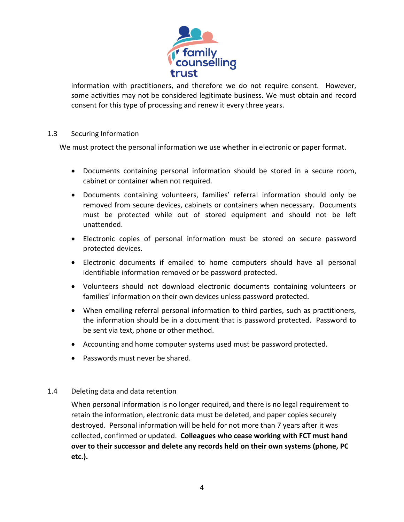

information with practitioners, and therefore we do not require consent. However, some activities may not be considered legitimate business. We must obtain and record consent for this type of processing and renew it every three years.

## 1.3 Securing Information

We must protect the personal information we use whether in electronic or paper format.

- Documents containing personal information should be stored in a secure room, cabinet or container when not required.
- Documents containing volunteers, families' referral information should only be removed from secure devices, cabinets or containers when necessary. Documents must be protected while out of stored equipment and should not be left unattended.
- Electronic copies of personal information must be stored on secure password protected devices.
- Electronic documents if emailed to home computers should have all personal identifiable information removed or be password protected.
- Volunteers should not download electronic documents containing volunteers or families' information on their own devices unless password protected.
- When emailing referral personal information to third parties, such as practitioners, the information should be in a document that is password protected. Password to be sent via text, phone or other method.
- Accounting and home computer systems used must be password protected.
- Passwords must never be shared.

#### 1.4 Deleting data and data retention

When personal information is no longer required, and there is no legal requirement to retain the information, electronic data must be deleted, and paper copies securely destroyed. Personal information will be held for not more than 7 years after it was collected, confirmed or updated. **Colleagues who cease working with FCT must hand over to their successor and delete any records held on their own systems (phone, PC etc.).**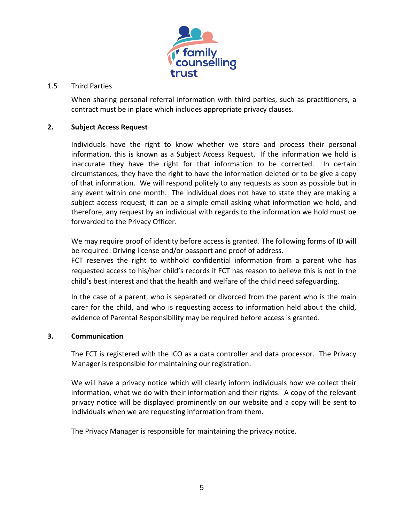

#### 1.5 Third Parties

When sharing personal referral information with third parties, such as practitioners, a contract must be in place which includes appropriate privacy clauses.

#### **2. Subject Access Request**

Individuals have the right to know whether we store and process their personal information, this is known as a Subject Access Request. If the information we hold is inaccurate they have the right for that information to be corrected. In certain circumstances, they have the right to have the information deleted or to be give a copy of that information. We will respond politely to any requests as soon as possible but in any event within one month. The individual does not have to state they are making a subject access request, it can be a simple email asking what information we hold, and therefore, any request by an individual with regards to the information we hold must be forwarded to the Privacy Officer.

We may require proof of identity before access is granted. The following forms of ID will be required: Driving license and/or passport and proof of address.

FCT reserves the right to withhold confidential information from a parent who has requested access to his/her child's records if FCT has reason to believe this is not in the child's best interest and that the health and welfare of the child need safeguarding.

In the case of a parent, who is separated or divorced from the parent who is the main carer for the child, and who is requesting access to information held about the child, evidence of Parental Responsibility may be required before access is granted.

#### **3. Communication**

The FCT is registered with the ICO as a data controller and data processor. The Privacy Manager is responsible for maintaining our registration.

We will have a privacy notice which will clearly inform individuals how we collect their information, what we do with their information and their rights. A copy of the relevant privacy notice will be displayed prominently on our website and a copy will be sent to individuals when we are requesting information from them.

The Privacy Manager is responsible for maintaining the privacy notice.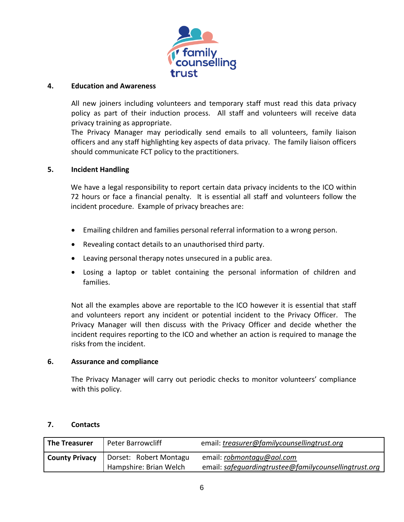

#### **4. Education and Awareness**

All new joiners including volunteers and temporary staff must read this data privacy policy as part of their induction process. All staff and volunteers will receive data privacy training as appropriate.

The Privacy Manager may periodically send emails to all volunteers, family liaison officers and any staff highlighting key aspects of data privacy. The family liaison officers should communicate FCT policy to the practitioners.

#### **5. Incident Handling**

We have a legal responsibility to report certain data privacy incidents to the ICO within 72 hours or face a financial penalty. It is essential all staff and volunteers follow the incident procedure. Example of privacy breaches are:

- Emailing children and families personal referral information to a wrong person.
- Revealing contact details to an unauthorised third party.
- Leaving personal therapy notes unsecured in a public area.
- Losing a laptop or tablet containing the personal information of children and families.

Not all the examples above are reportable to the ICO however it is essential that staff and volunteers report any incident or potential incident to the Privacy Officer. The Privacy Manager will then discuss with the Privacy Officer and decide whether the incident requires reporting to the ICO and whether an action is required to manage the risks from the incident.

#### **6. Assurance and compliance**

The Privacy Manager will carry out periodic checks to monitor volunteers' compliance with this policy.

#### **7. Contacts**

| <b>The Treasurer</b>  | <b>Peter Barrowcliff</b> | email: treasurer@familycounsellingtrust.org           |
|-----------------------|--------------------------|-------------------------------------------------------|
| <b>County Privacy</b> | Dorset: Robert Montagu   | email: robmontagu@aol.com                             |
|                       | Hampshire: Brian Welch   | email: safequardingtrustee@familycounsellingtrust.org |